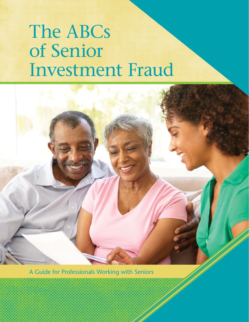# The ABCs of Senior Investment Fraud



A Guide for Professionals Working with Seniors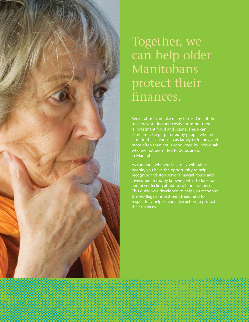

# Together, we can help older Manitobans protect their finances.

Senior abuse can take many forms. One of the most devastating and costly forms out there is investment fraud and scams. These can sometimes be perpetrated by people who are close to the senior such as family or friends, and more often than not is conducted by individuals who are not permitted to do business in Manitoba.

As someone who works closely with older people, you have the opportunity to help recognize and stop senior financial abuse and investment fraud by knowing what to look for and never feeling afraid to call for assistance. This guide was developed to help you recognize the red flags of investment fraud, and to respectfully help seniors take action to protect their finances.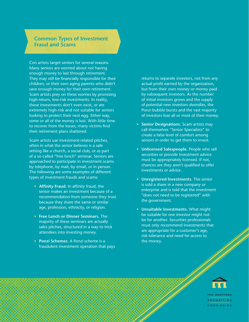### **Common Types of Investment Fraud and Scams**

Con artists target seniors for several reasons. Many seniors are worried about not having enough money to last through retirement. They may still be financially responsible for their children, or their own aging parents who didn't save enough money for their own retirement. Scam artists prey on these worries by promising high-return, low-risk investments. In reality, these investments don't even exist, or are extremely high-risk and not suitable for seniors looking to protect their nest egg. Either way, some or all of the money is lost. With little time to recover from the losses, many victims find their retirement plans shattered.

Scam artists use investment-related pitches, often in what the senior believes is a safe setting like a church, a social club, or as part of a so-called "free lunch" seminar. Seniors are approached to participate in investment scams by telephone, by mail, by email, or in person. The following are some examples of different types of investment frauds and scams:

- Affinity Fraud. In affinity fraud, the senior makes an investment because of a recommendation from someone they trust because they share the same or similar age, profession, ethnicity, or religion.
- **Free Lunch or Dinner Seminars.** The majority of these seminars are actually sales pitches, structured in a way to trick attendees into investing money.
- **Ponzi Schemes.** A Ponzi scheme is a fraudulent investment operation that pays

returns to separate investors, not from any actual profit earned by the organization, but from their own money or money paid by subsequent investors. As the number of initial investors grows and the supply of potential new investors dwindles, the Ponzi bubble bursts and the vast majority of investors lose all or most of their money.

- **Senior Designations.** Scam artists may call themselves "Senior Specialists" to create a false level of comfort among seniors in order to get them to invest.
- **Unlicensed Salespeople.** People who sell securities or provide investment advice must be appropriately licensed. If not, chances are they aren't qualified to offer investments or advice.
- **Unregistered Investments.** The senior is sold a share in a new company or enterprise and is told that the investment "does not need to be registered" with the government.
- **Unsuitable Investments.** What might be suitable for one investor might not be for another. Securities professionals must only recommend investments that are appropriate for a customer's age, risk tolerance and need for access to the money.



THE MANITORA **SECURITIES** COMMISSION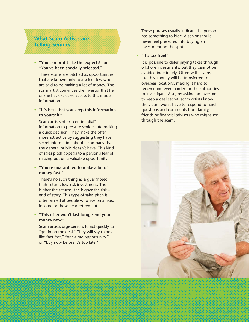# **What Scam Artists are Telling Seniors**

#### **• "You can profit like the experts!" or "You've been specially selected."**

These scams are pitched as opportunities that are known only to a select few who are said to be making a lot of money. The scam artist convinces the investor that he or she has exclusive access to this inside information.

#### **• "It's best that you keep this information to yourself."**

Scam artists offer "confidential" information to pressure seniors into making a quick decision. They make the offer more attractive by suggesting they have secret information about a company that the general public doesn't have. This kind of sales pitch appeals to a person's fear of missing out on a valuable opportunity.

#### **• "You're guaranteed to make a lot of money fast."**

There's no such thing as a guaranteed high-return, low-risk investment. The higher the returns, the higher the risk – end of story. This type of sales pitch is often aimed at people who live on a fixed income or those near retirement.

#### **• "This offer won't last long, send your money now."**

Scam artists urge seniors to act quickly to "get in on the deal." They will say things like "act fast," "one-time opportunity," or "buy now before it's too late."

These phrases usually indicate the person has something to hide. A senior should never feel pressured into buying an investment on the spot.

#### **• "It's tax free!"**

It is possible to defer paying taxes through offshore investments, but they cannot be avoided indefinitely. Often with scams like this, money will be transferred to overseas locations, making it hard to recover and even harder for the authorities to investigate. Also, by asking an investor to keep a deal secret, scam artists know the victim won't have to respond to hard questions and comments from family, friends or financial advisers who might see through the scam.

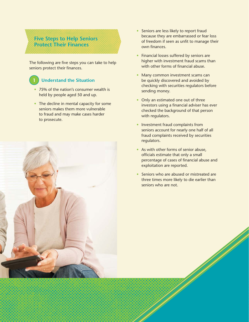## **Five Steps to Help Seniors Protect Their Finances**

The following are five steps you can take to help seniors protect their finances.

# **1**

#### **Understand the Situation**

- 75% of the nation's consumer wealth is held by people aged 50 and up.
- The decline in mental capacity for some seniors makes them more vulnerable to fraud and may make cases harder to prosecute.



- Seniors are less likely to report fraud because they are embarrassed or fear loss of freedom if seen as unfit to manage their own finances.
- Financial losses suffered by seniors are higher with investment fraud scams than with other forms of financial abuse.
- Many common investment scams can be quickly discovered and avoided by checking with securities regulators before sending money.
- Only an estimated one out of three investors using a financial adviser has ever checked the background of that person with regulators.
- Investment fraud complaints from seniors account for nearly one half of all fraud complaints received by securities regulators.
- As with other forms of senior abuse, officials estimate that only a small percentage of cases of financial abuse and exploitation are reported.
- Seniors who are abused or mistreated are three times more likely to die earlier than seniors who are not.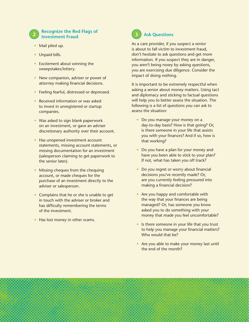#### **Recognize the Red Flags of 2 Investment Fraud**

- Mail piled up.
- Unpaid bills.
- Excitement about winning the sweepstakes/lottery.
- New companion, adviser or power of attorney making financial decisions.
- Feeling fearful, distressed or depressed.
- Received information or was asked to invest in unregistered or startup companies.
- Was asked to sign blank paperwork on an investment, or gave an adviser discretionary authority over their account.
- Has unopened investment account statements, missing account statements, or missing documentation for an investment (salesperson claiming to get paperwork to the senior later).
- Missing cheques from the chequing account, or made cheques for the purchase of an investment directly to the adviser or salesperson.
- Complains that he or she is unable to get in touch with the adviser or broker and has difficulty remembering the terms of the investment.
- Has lost money in other scams.



# **Ask Questions**

As a care provider, if you suspect a senior is about to fall victim to investment fraud, don't hesitate to ask questions and get more information. If you suspect they are in danger, you aren't being nosey by asking questions, you are exercising due diligence. Consider the impact of doing nothing.

It is important to be extremely respectful when asking a senior about money matters. Using tact and diplomacy and sticking to factual questions will help you to better assess the situation. The following is a list of questions you can ask to assess the situation:

- Do you manage your money on a day-to-day basis? How is that going? Or, is there someone in your life that assists you with your finances? And if so, how is that working?
- Do you have a plan for your money and have you been able to stick to your plan? If not, what has taken you off track?
- Do you regret or worry about financial decisions you've recently made? Or, are you currently feeling pressured into making a financial decision?
- Are you happy and comfortable with the way that your finances are being managed? Or, has someone you know asked you to do something with your money that made you feel uncomfortable?
- Is there someone in your life that you trust to help you manage your financial matters? Who would that be?
- Are you able to make your money last until the end of the month?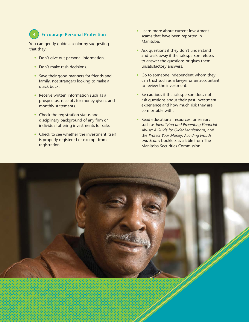#### **Encourage Personal Protection 4**

You can gently guide a senior by suggesting that they:

- Don't give out personal information.
- Don't make rash decisions.
- Save their good manners for friends and family, not strangers looking to make a quick buck.
- Receive written information such as a prospectus, receipts for money given, and monthly statements.
- Check the registration status and disciplinary background of any firm or individual offering investments for sale.
- Check to see whether the investment itself is properly registered or exempt from registration.
- Learn more about current investment scams that have been reported in Manitoba.
- Ask questions if they don't understand and walk away if the salesperson refuses to answer the questions or gives them unsatisfactory answers.
- Go to someone independent whom they can trust such as a lawyer or an accountant to review the investment.
- Be cautious if the salesperson does not ask questions about their past investment experience and how much risk they are comfortable with.
- Read educational resources for seniors such as *Identifying and Preventing Financial Abuse: A Guide for Older Manitobans,* and the *Protect Your Money: Avoiding Frauds and Scams* booklets available from The Manitoba Securities Commission.